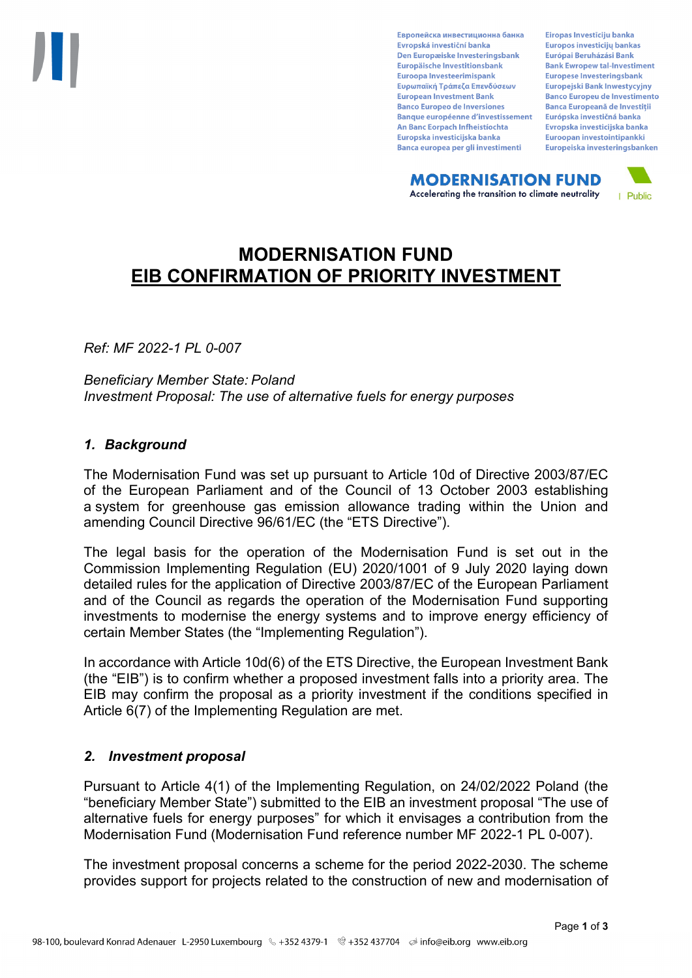Европейска инвестиционна банка Evropská investiční banka Den Europæiske Investeringsbank Europäische Investitionsbank Euroopa Investeerimispank Ευρωπαϊκή Τράπεζα Επενδύσεων **European Investment Bank Banco Europeo de Inversiones Banque européenne d'investissement** An Banc Eorpach Infheistíochta Europska investicijska banka Banca europea per gli investimenti

Eiropas Investīciju banka Europos investicijų bankas Európai Beruházási Bank **Bank Ewropew tal-Investiment** Europese Investeringsbank **Europeiski Bank Inwestycviny Banco Europeu de Investimento Banca Europeană de Investiții** Európska investičná banka Evropska investicijska banka Euroopan investointipankki Europeiska investeringsbanken

**MODERNISATION FUND** Accelerating the transition to climate neutrality



# **MODERNISATION FUND EIB CONFIRMATION OF PRIORITY INVESTMENT**

*Ref: MF 2022-1 PL 0-007*

*Beneficiary Member State: Poland Investment Proposal: The use of alternative fuels for energy purposes*

## *1. Background*

The Modernisation Fund was set up pursuant to Article 10d of Directive 2003/87/EC of the European Parliament and of the Council of 13 October 2003 establishing a system for greenhouse gas emission allowance trading within the Union and amending Council Directive 96/61/EC (the "ETS Directive").

The legal basis for the operation of the Modernisation Fund is set out in the Commission Implementing Regulation (EU) 2020/1001 of 9 July 2020 laying down detailed rules for the application of Directive 2003/87/EC of the European Parliament and of the Council as regards the operation of the Modernisation Fund supporting investments to modernise the energy systems and to improve energy efficiency of certain Member States (the "Implementing Regulation").

In accordance with Article 10d(6) of the ETS Directive, the European Investment Bank (the "EIB") is to confirm whether a proposed investment falls into a priority area. The EIB may confirm the proposal as a priority investment if the conditions specified in Article 6(7) of the Implementing Regulation are met.

## *2. Investment proposal*

Pursuant to Article 4(1) of the Implementing Regulation, on 24/02/2022 Poland (the "beneficiary Member State") submitted to the EIB an investment proposal "The use of alternative fuels for energy purposes" for which it envisages a contribution from the Modernisation Fund (Modernisation Fund reference number MF 2022-1 PL 0-007).

The investment proposal concerns a scheme for the period 2022-2030. The scheme provides support for projects related to the construction of new and modernisation of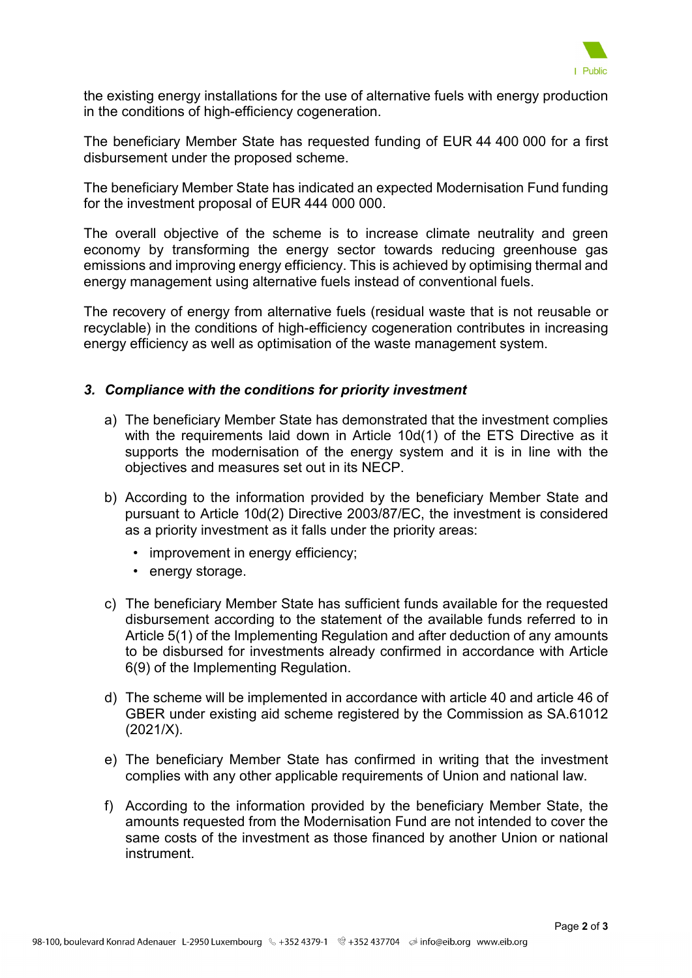

the existing energy installations for the use of alternative fuels with energy production in the conditions of high-efficiency cogeneration.

The beneficiary Member State has requested funding of EUR 44 400 000 for a first disbursement under the proposed scheme.

The beneficiary Member State has indicated an expected Modernisation Fund funding for the investment proposal of EUR 444 000 000.

The overall objective of the scheme is to increase climate neutrality and green economy by transforming the energy sector towards reducing greenhouse gas emissions and improving energy efficiency. This is achieved by optimising thermal and energy management using alternative fuels instead of conventional fuels.

The recovery of energy from alternative fuels (residual waste that is not reusable or recyclable) in the conditions of high-efficiency cogeneration contributes in increasing energy efficiency as well as optimisation of the waste management system.

### *3. Compliance with the conditions for priority investment*

- a) The beneficiary Member State has demonstrated that the investment complies with the requirements laid down in Article 10d(1) of the ETS Directive as it supports the modernisation of the energy system and it is in line with the objectives and measures set out in its NECP.
- b) According to the information provided by the beneficiary Member State and pursuant to Article 10d(2) Directive 2003/87/EC, the investment is considered as a priority investment as it falls under the priority areas:
	- improvement in energy efficiency:
	- energy storage.
- c) The beneficiary Member State has sufficient funds available for the requested disbursement according to the statement of the available funds referred to in Article 5(1) of the Implementing Regulation and after deduction of any amounts to be disbursed for investments already confirmed in accordance with Article 6(9) of the Implementing Regulation.
- d) The scheme will be implemented in accordance with article 40 and article 46 of GBER under existing aid scheme registered by the Commission as SA.61012 (2021/X).
- e) The beneficiary Member State has confirmed in writing that the investment complies with any other applicable requirements of Union and national law.
- f) According to the information provided by the beneficiary Member State, the amounts requested from the Modernisation Fund are not intended to cover the same costs of the investment as those financed by another Union or national instrument.